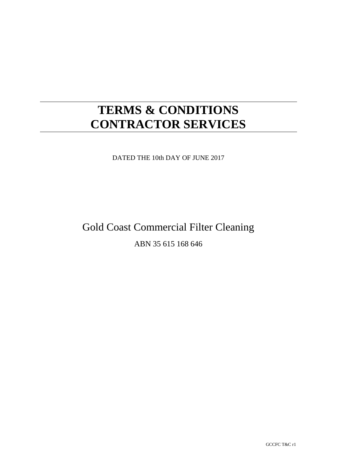# **TERMS & CONDITIONS CONTRACTOR SERVICES**

DATED THE 10th DAY OF JUNE 2017

# Gold Coast Commercial Filter Cleaning

# ABN 35 615 168 646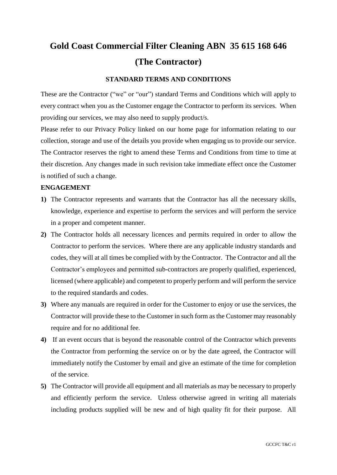# **Gold Coast Commercial Filter Cleaning ABN 35 615 168 646 (The Contractor)**

### **STANDARD TERMS AND CONDITIONS**

These are the Contractor ("we" or "our") standard Terms and Conditions which will apply to every contract when you as the Customer engage the Contractor to perform its services. When providing our services, we may also need to supply product/s.

Please refer to our Privacy Policy linked on our home page for information relating to our collection, storage and use of the details you provide when engaging us to provide our service. The Contractor reserves the right to amend these Terms and Conditions from time to time at their discretion. Any changes made in such revision take immediate effect once the Customer is notified of such a change.

#### **ENGAGEMENT**

- **1)** The Contractor represents and warrants that the Contractor has all the necessary skills, knowledge, experience and expertise to perform the services and will perform the service in a proper and competent manner.
- **2)** The Contractor holds all necessary licences and permits required in order to allow the Contractor to perform the services. Where there are any applicable industry standards and codes, they will at all times be complied with by the Contractor. The Contractor and all the Contractor's employees and permitted sub-contractors are properly qualified, experienced, licensed (where applicable) and competent to properly perform and will perform the service to the required standards and codes.
- **3)** Where any manuals are required in order for the Customer to enjoy or use the services, the Contractor will provide these to the Customer in such form as the Customer may reasonably require and for no additional fee.
- **4)** If an event occurs that is beyond the reasonable control of the Contractor which prevents the Contractor from performing the service on or by the date agreed, the Contractor will immediately notify the Customer by email and give an estimate of the time for completion of the service.
- **5)** The Contractor will provide all equipment and all materials as may be necessary to properly and efficiently perform the service. Unless otherwise agreed in writing all materials including products supplied will be new and of high quality fit for their purpose. All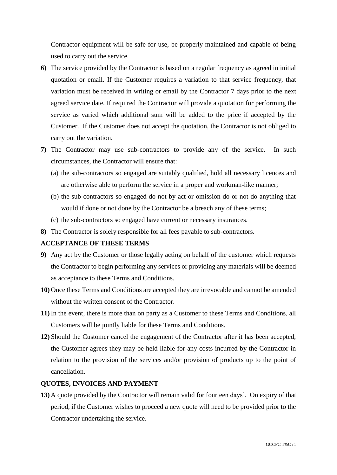Contractor equipment will be safe for use, be properly maintained and capable of being used to carry out the service.

- **6)** The service provided by the Contractor is based on a regular frequency as agreed in initial quotation or email. If the Customer requires a variation to that service frequency, that variation must be received in writing or email by the Contractor 7 days prior to the next agreed service date. If required the Contractor will provide a quotation for performing the service as varied which additional sum will be added to the price if accepted by the Customer. If the Customer does not accept the quotation, the Contractor is not obliged to carry out the variation.
- **7)** The Contractor may use sub-contractors to provide any of the service. In such circumstances, the Contractor will ensure that:
	- (a) the sub-contractors so engaged are suitably qualified, hold all necessary licences and are otherwise able to perform the service in a proper and workman-like manner;
	- (b) the sub-contractors so engaged do not by act or omission do or not do anything that would if done or not done by the Contractor be a breach any of these terms;
	- (c) the sub-contractors so engaged have current or necessary insurances.
- **8)** The Contractor is solely responsible for all fees payable to sub-contractors.

#### **ACCEPTANCE OF THESE TERMS**

- **9)** Any act by the Customer or those legally acting on behalf of the customer which requests the Contractor to begin performing any services or providing any materials will be deemed as acceptance to these Terms and Conditions.
- **10)** Once these Terms and Conditions are accepted they are irrevocable and cannot be amended without the written consent of the Contractor.
- **11)** In the event, there is more than on party as a Customer to these Terms and Conditions, all Customers will be jointly liable for these Terms and Conditions.
- **12)** Should the Customer cancel the engagement of the Contractor after it has been accepted, the Customer agrees they may be held liable for any costs incurred by the Contractor in relation to the provision of the services and/or provision of products up to the point of cancellation.

#### **QUOTES, INVOICES AND PAYMENT**

**13)** A quote provided by the Contractor will remain valid for fourteen days'. On expiry of that period, if the Customer wishes to proceed a new quote will need to be provided prior to the Contractor undertaking the service.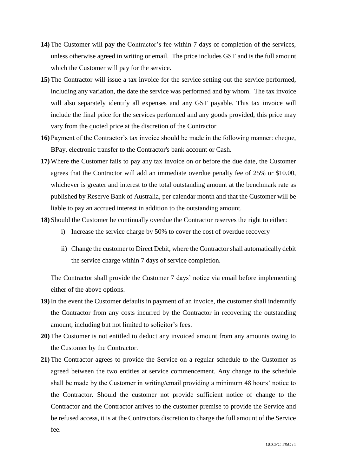- **14)** The Customer will pay the Contractor's fee within 7 days of completion of the services, unless otherwise agreed in writing or email. The price includes GST and is the full amount which the Customer will pay for the service.
- **15)** The Contractor will issue a tax invoice for the service setting out the service performed, including any variation, the date the service was performed and by whom. The tax invoice will also separately identify all expenses and any GST payable. This tax invoice will include the final price for the services performed and any goods provided, this price may vary from the quoted price at the discretion of the Contractor
- **16)** Payment of the Contractor's tax invoice should be made in the following manner: cheque, BPay, electronic transfer to the Contractor's bank account or Cash.
- **17)**Where the Customer fails to pay any tax invoice on or before the due date, the Customer agrees that the Contractor will add an immediate overdue penalty fee of 25% or \$10.00, whichever is greater and interest to the total outstanding amount at the benchmark rate as published by Reserve Bank of Australia, per calendar month and that the Customer will be liable to pay an accrued interest in addition to the outstanding amount.
- **18)** Should the Customer be continually overdue the Contractor reserves the right to either:
	- i) Increase the service charge by 50% to cover the cost of overdue recovery
	- ii) Change the customer to Direct Debit, where the Contractor shall automatically debit the service charge within 7 days of service completion.

The Contractor shall provide the Customer 7 days' notice via email before implementing either of the above options.

- **19)**In the event the Customer defaults in payment of an invoice, the customer shall indemnify the Contractor from any costs incurred by the Contractor in recovering the outstanding amount, including but not limited to solicitor's fees.
- **20)** The Customer is not entitled to deduct any invoiced amount from any amounts owing to the Customer by the Contractor.
- **21)** The Contractor agrees to provide the Service on a regular schedule to the Customer as agreed between the two entities at service commencement. Any change to the schedule shall be made by the Customer in writing/email providing a minimum 48 hours' notice to the Contractor. Should the customer not provide sufficient notice of change to the Contractor and the Contractor arrives to the customer premise to provide the Service and be refused access, it is at the Contractors discretion to charge the full amount of the Service fee.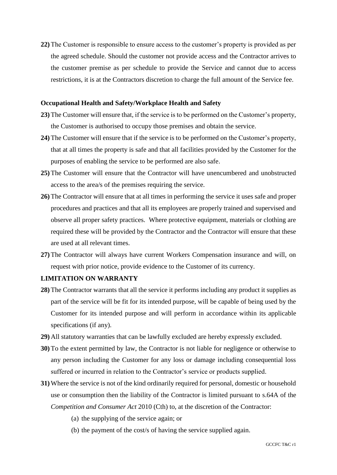**22)** The Customer is responsible to ensure access to the customer's property is provided as per the agreed schedule. Should the customer not provide access and the Contractor arrives to the customer premise as per schedule to provide the Service and cannot due to access restrictions, it is at the Contractors discretion to charge the full amount of the Service fee.

#### **Occupational Health and Safety/Workplace Health and Safety**

- **23)** The Customer will ensure that, if the service is to be performed on the Customer's property, the Customer is authorised to occupy those premises and obtain the service.
- **24)** The Customer will ensure that if the service is to be performed on the Customer's property, that at all times the property is safe and that all facilities provided by the Customer for the purposes of enabling the service to be performed are also safe.
- **25)** The Customer will ensure that the Contractor will have unencumbered and unobstructed access to the area/s of the premises requiring the service.
- **26)** The Contractor will ensure that at all times in performing the service it uses safe and proper procedures and practices and that all its employees are properly trained and supervised and observe all proper safety practices. Where protective equipment, materials or clothing are required these will be provided by the Contractor and the Contractor will ensure that these are used at all relevant times.
- **27)** The Contractor will always have current Workers Compensation insurance and will, on request with prior notice, provide evidence to the Customer of its currency.

### **LIMITATION ON WARRANTY**

- **28)** The Contractor warrants that all the service it performs including any product it supplies as part of the service will be fit for its intended purpose, will be capable of being used by the Customer for its intended purpose and will perform in accordance within its applicable specifications (if any).
- **29)** All statutory warranties that can be lawfully excluded are hereby expressly excluded.
- **30)** To the extent permitted by law, the Contractor is not liable for negligence or otherwise to any person including the Customer for any loss or damage including consequential loss suffered or incurred in relation to the Contractor's service or products supplied.
- **31)**Where the service is not of the kind ordinarily required for personal, domestic or household use or consumption then the liability of the Contractor is limited pursuant to s.64A of the *Competition and Consumer Act* 2010 (Cth) to, at the discretion of the Contractor:
	- (a) the supplying of the service again; or
	- (b) the payment of the cost/s of having the service supplied again.